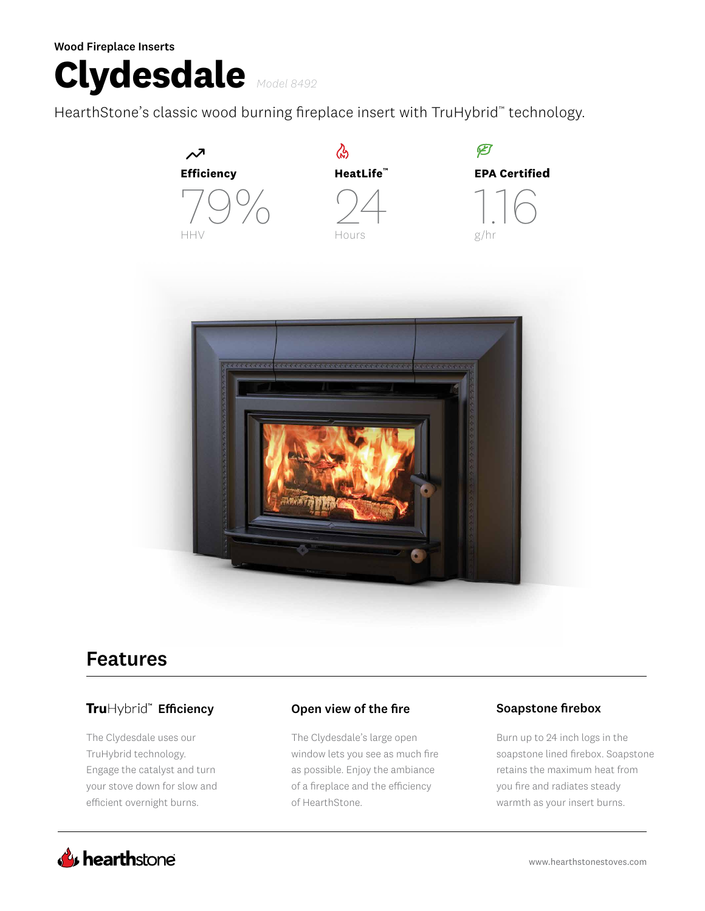Wood Fireplace Inserts

# **Clydesdale** *Model 8492*

HearthStone's classic wood burning fireplace insert with TruHybrid™ technology.



## Features

## TruHybrid<sup>™</sup> Efficiency

The Clydesdale uses our TruHybrid technology. Engage the catalyst and turn your stove down for slow and efficient overnight burns.

#### Open view of the fire Soapstone firebox

The Clydesdale's large open window lets you see as much fire as possible. Enjoy the ambiance of a fireplace and the efficiency of HearthStone.

Burn up to 24 inch logs in the soapstone lined firebox. Soapstone retains the maximum heat from you fire and radiates steady warmth as your insert burns.